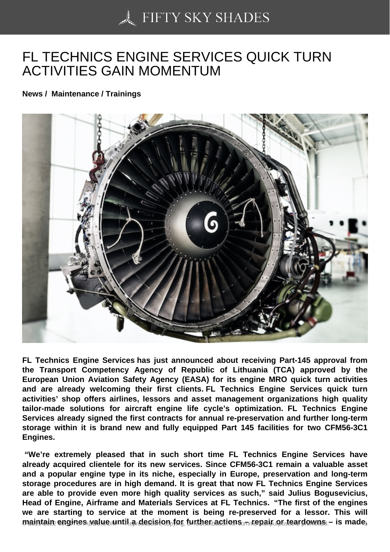## [FL TECHNICS ENGIN](https://50skyshades.com)E SERVICES QUICK TURN ACTIVITIES GAIN MOMENTUM

News / Maintenance / Trainings

FL Technics Engine Services has just announced about receiving Part-145 approval from the Transport Competency Agency of Republic of Lithuania (TCA) approved by the European Union Aviation Safety Agency (EASA) for its engine MRO quick turn activities and are already welcoming their first clients. FL Technics Engine Services quick turn activities' shop offers airlines, lessors and asset management organizations high quality tailor-made solutions for aircraft engine life cycle's optimization. FL Technics Engine Services already signed the first contracts for annual re-preservation and further long-term storage within it is brand new and fully equipped Part 145 facilities for two CFM56-3C1 Engines.

 "We're extremely pleased that in such short time FL Technics Engine Services have already acquired clientele for its new services. Since CFM56-3C1 remain a valuable asset and a popular engine type in its niche, especially in Europe, preservation and long-term storage procedures are in high demand. It is great that now FL Technics Engine Services are able to provide even more high quality services as such," said Julius Bogusevicius, Head of Engine, Airframe and Materials Services at FL Technics. "The first of the engines we are starting to service at the moment is being re-preserved for a lessor. This will  $m$ aintain engines value until a decision for further actions  $\tau$  repair en algebra s<sub>or r</sub>is made.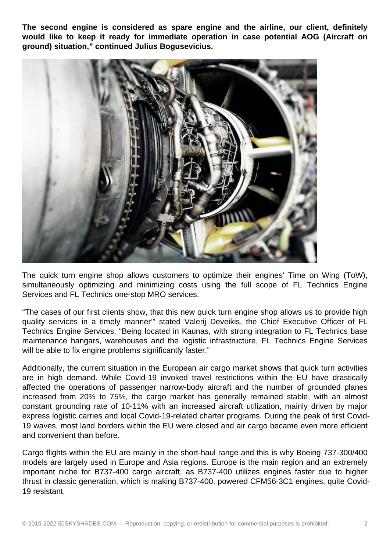**The second engine is considered as spare engine and the airline, our client, definitely would like to keep it ready for immediate operation in case potential AOG (Aircraft on ground) situation," continued Julius Bogusevicius.**



The quick turn engine shop allows customers to optimize their engines' Time on Wing (ToW), simultaneously optimizing and minimizing costs using the full scope of FL Technics Engine Services and FL Technics one-stop MRO services.

"The cases of our first clients show, that this new quick turn engine shop allows us to provide high quality services in a timely manner'" stated Valerij Deveikis, the Chief Executive Officer of FL Technics Engine Services. "Being located in Kaunas, with strong integration to FL Technics base maintenance hangars, warehouses and the logistic infrastructure, FL Technics Engine Services will be able to fix engine problems significantly faster."

Additionally, the current situation in the European air cargo market shows that quick turn activities are in high demand. While Covid-19 invoked travel restrictions within the EU have drastically affected the operations of passenger narrow-body aircraft and the number of grounded planes increased from 20% to 75%, the cargo market has generally remained stable, with an almost constant grounding rate of 10-11% with an increased aircraft utilization, mainly driven by major express logistic carries and local Covid-19-related charter programs. During the peak of first Covid-19 waves, most land borders within the EU were closed and air cargo became even more efficient and convenient than before.

Cargo flights within the EU are mainly in the short-haul range and this is why Boeing 737-300/400 models are largely used in Europe and Asia regions. Europe is the main region and an extremely important niche for B737-400 cargo aircraft, as B737-400 utilizes engines faster due to higher thrust in classic generation, which is making B737-400, powered CFM56-3C1 engines, quite Covid-19 resistant.